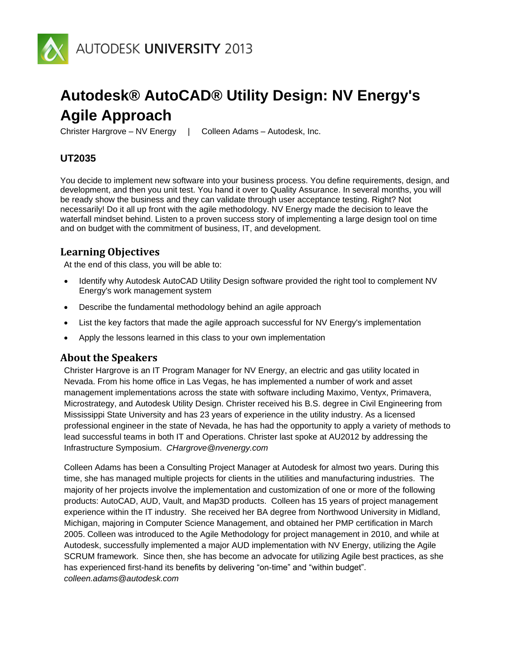

# **Autodesk® AutoCAD® Utility Design: NV Energy's Agile Approach**

Christer Hargrove – NV Energy | Colleen Adams – Autodesk, Inc.

# **UT2035**

You decide to implement new software into your business process. You define requirements, design, and development, and then you unit test. You hand it over to Quality Assurance. In several months, you will be ready show the business and they can validate through user acceptance testing. Right? Not necessarily! Do it all up front with the agile methodology. NV Energy made the decision to leave the waterfall mindset behind. Listen to a proven success story of implementing a large design tool on time and on budget with the commitment of business, IT, and development.

# **Learning Objectives**

At the end of this class, you will be able to:

- Identify why Autodesk AutoCAD Utility Design software provided the right tool to complement NV Energy's work management system
- Describe the fundamental methodology behind an agile approach
- List the key factors that made the agile approach successful for NV Energy's implementation
- Apply the lessons learned in this class to your own implementation

#### **About the Speakers**

Christer Hargrove is an IT Program Manager for NV Energy, an electric and gas utility located in Nevada. From his home office in Las Vegas, he has implemented a number of work and asset management implementations across the state with software including Maximo, Ventyx, Primavera, Microstrategy, and Autodesk Utility Design. Christer received his B.S. degree in Civil Engineering from Mississippi State University and has 23 years of experience in the utility industry. As a licensed professional engineer in the state of Nevada, he has had the opportunity to apply a variety of methods to lead successful teams in both IT and Operations. Christer last spoke at AU2012 by addressing the Infrastructure Symposium. *CHargrove@nvenergy.com*

Colleen Adams has been a Consulting Project Manager at Autodesk for almost two years. During this time, she has managed multiple projects for clients in the utilities and manufacturing industries. The majority of her projects involve the implementation and customization of one or more of the following products: AutoCAD, AUD, Vault, and Map3D products. Colleen has 15 years of project management experience within the IT industry. She received her BA degree from Northwood University in Midland, Michigan, majoring in Computer Science Management, and obtained her PMP certification in March 2005. Colleen was introduced to the Agile Methodology for project management in 2010, and while at Autodesk, successfully implemented a major AUD implementation with NV Energy, utilizing the Agile SCRUM framework. Since then, she has become an advocate for utilizing Agile best practices, as she has experienced first-hand its benefits by delivering "on-time" and "within budget". *colleen.adams@autodesk.com*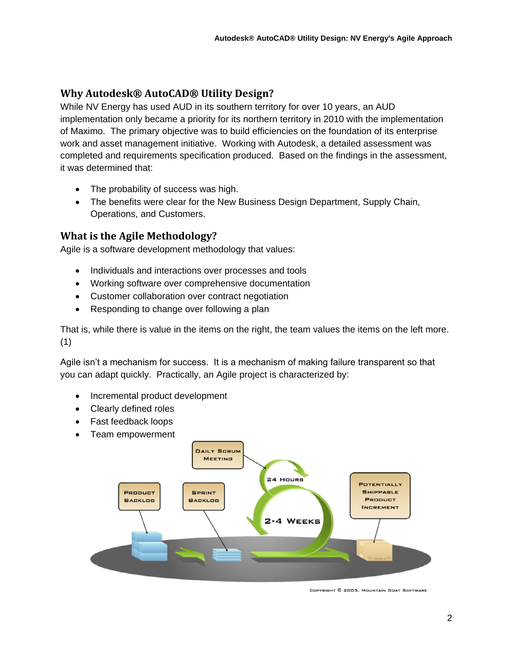# **Why Autodesk® AutoCAD® Utility Design?**

While NV Energy has used AUD in its southern territory for over 10 years, an AUD implementation only became a priority for its northern territory in 2010 with the implementation of Maximo. The primary objective was to build efficiencies on the foundation of its enterprise work and asset management initiative. Working with Autodesk, a detailed assessment was completed and requirements specification produced. Based on the findings in the assessment, it was determined that:

- The probability of success was high.
- The benefits were clear for the New Business Design Department, Supply Chain, Operations, and Customers.

# **What is the Agile Methodology?**

Agile is a software development methodology that values:

- Individuals and interactions over processes and tools
- Working software over comprehensive documentation
- Customer collaboration over contract negotiation
- Responding to change over following a plan

That is, while there is value in the items on the right, the team values the items on the left more. (1)

Agile isn't a mechanism for success. It is a mechanism of making failure transparent so that you can adapt quickly. Practically, an Agile project is characterized by:

- Incremental product development
- Clearly defined roles
- Fast feedback loops
- Team empowerment



COPYRIGHT © 2005, MOUNTAIN GOAT SOFTWARE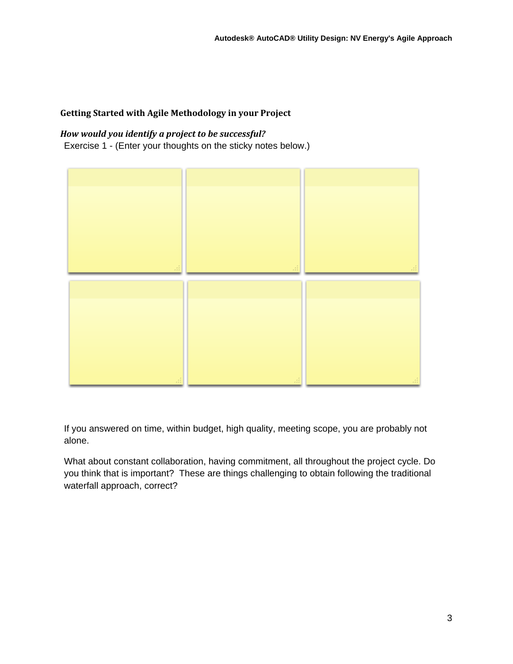# **Getting Started with Agile Methodology in your Project**

# *How would you identify a project to be successful?*

Exercise 1 - (Enter your thoughts on the sticky notes below.)



If you answered on time, within budget, high quality, meeting scope, you are probably not alone.

What about constant collaboration, having commitment, all throughout the project cycle. Do you think that is important? These are things challenging to obtain following the traditional waterfall approach, correct?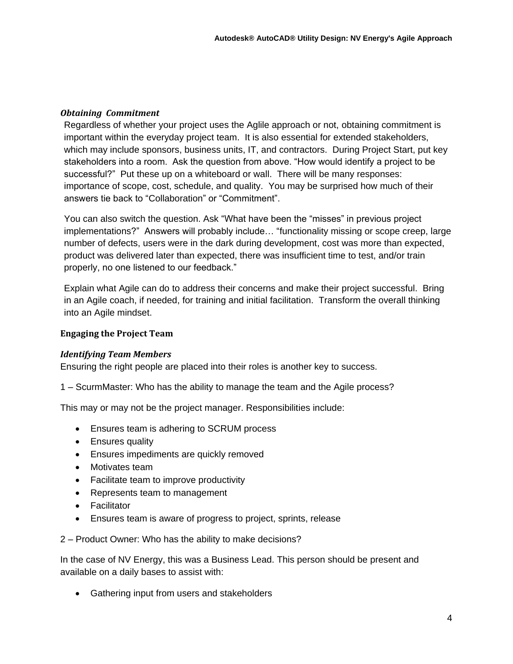# *Obtaining Commitment*

Regardless of whether your project uses the Aglile approach or not, obtaining commitment is important within the everyday project team. It is also essential for extended stakeholders, which may include sponsors, business units, IT, and contractors. During Project Start, put key stakeholders into a room. Ask the question from above. "How would identify a project to be successful?" Put these up on a whiteboard or wall. There will be many responses: importance of scope, cost, schedule, and quality. You may be surprised how much of their answers tie back to "Collaboration" or "Commitment".

You can also switch the question. Ask "What have been the "misses" in previous project implementations?" Answers will probably include… "functionality missing or scope creep, large number of defects, users were in the dark during development, cost was more than expected, product was delivered later than expected, there was insufficient time to test, and/or train properly, no one listened to our feedback."

Explain what Agile can do to address their concerns and make their project successful. Bring in an Agile coach, if needed, for training and initial facilitation. Transform the overall thinking into an Agile mindset.

# **Engaging the Project Team**

#### *Identifying Team Members*

Ensuring the right people are placed into their roles is another key to success.

1 – ScurmMaster: Who has the ability to manage the team and the Agile process?

This may or may not be the project manager. Responsibilities include:

- Ensures team is adhering to SCRUM process
- Ensures quality
- Ensures impediments are quickly removed
- Motivates team
- Facilitate team to improve productivity
- Represents team to management
- Facilitator
- Ensures team is aware of progress to project, sprints, release

2 – Product Owner: Who has the ability to make decisions?

In the case of NV Energy, this was a Business Lead. This person should be present and available on a daily bases to assist with:

• Gathering input from users and stakeholders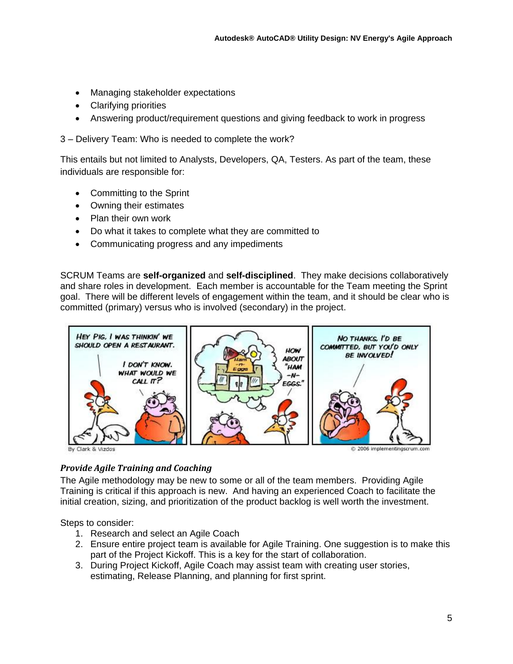- Managing stakeholder expectations
- Clarifying priorities
- Answering product/requirement questions and giving feedback to work in progress

3 – Delivery Team: Who is needed to complete the work?

This entails but not limited to Analysts, Developers, QA, Testers. As part of the team, these individuals are responsible for:

- Committing to the Sprint
- Owning their estimates
- Plan their own work
- Do what it takes to complete what they are committed to
- Communicating progress and any impediments

SCRUM Teams are **self-organized** and **self-disciplined**. They make decisions collaboratively and share roles in development. Each member is accountable for the Team meeting the Sprint goal. There will be different levels of engagement within the team, and it should be clear who is committed (primary) versus who is involved (secondary) in the project.



# *Provide Agile Training and Coaching*

The Agile methodology may be new to some or all of the team members. Providing Agile Training is critical if this approach is new. And having an experienced Coach to facilitate the initial creation, sizing, and prioritization of the product backlog is well worth the investment.

Steps to consider:

- 1. Research and select an Agile Coach
- 2. Ensure entire project team is available for Agile Training. One suggestion is to make this part of the Project Kickoff. This is a key for the start of collaboration.
- 3. During Project Kickoff, Agile Coach may assist team with creating user stories, estimating, Release Planning, and planning for first sprint.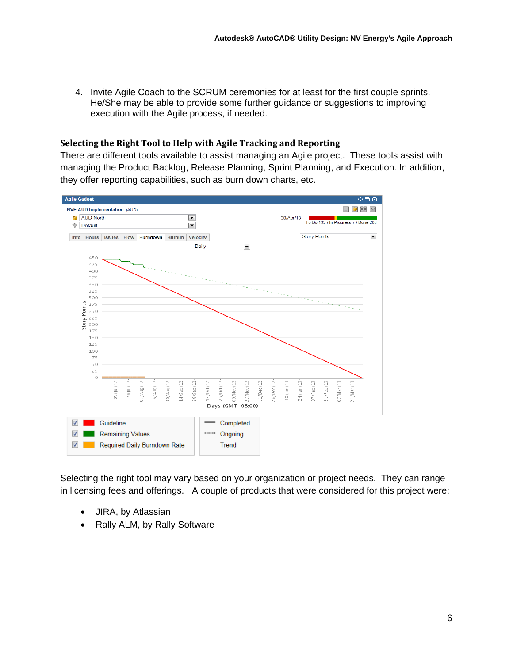4. Invite Agile Coach to the SCRUM ceremonies for at least for the first couple sprints. He/She may be able to provide some further guidance or suggestions to improving execution with the Agile process, if needed.

#### **Selecting the Right Tool to Help with Agile Tracking and Reporting**

There are different tools available to assist managing an Agile project. These tools assist with managing the Product Backlog, Release Planning, Sprint Planning, and Execution. In addition, they offer reporting capabilities, such as burn down charts, etc.



Selecting the right tool may vary based on your organization or project needs. They can range in licensing fees and offerings. A couple of products that were considered for this project were:

- JIRA, by Atlassian
- Rally ALM, by Rally Software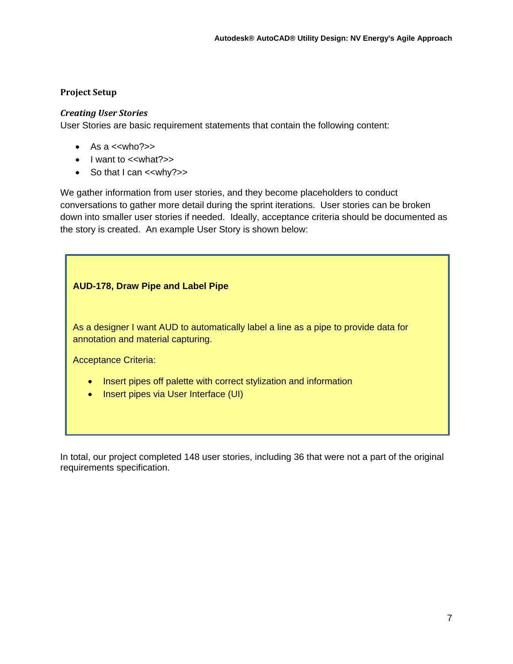#### **Project Setup**

#### *Creating User Stories*

User Stories are basic requirement statements that contain the following content:

- $\bullet$  As a  $\lt$ who? $\gt$
- $\bullet$  l want to  $\lt$ what? $\gt$
- $\bullet$  So that I can  $\lt$ why?>>

We gather information from user stories, and they become placeholders to conduct conversations to gather more detail during the sprint iterations. User stories can be broken down into smaller user stories if needed. Ideally, acceptance criteria should be documented as the story is created. An example User Story is shown below:

# **AUD-178, Draw Pipe and Label Pipe**

As a designer I want AUD to automatically label a line as a pipe to provide data for annotation and material capturing.

Acceptance Criteria:

- Insert pipes off palette with correct stylization and information
- Insert pipes via User Interface (UI)

In total, our project completed 148 user stories, including 36 that were not a part of the original requirements specification.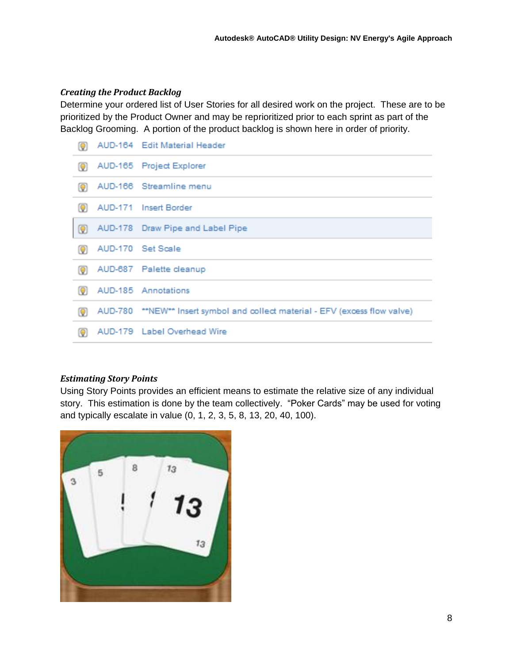# *Creating the Product Backlog*

Determine your ordered list of User Stories for all desired work on the project. These are to be prioritized by the Product Owner and may be reprioritized prior to each sprint as part of the Backlog Grooming. A portion of the product backlog is shown here in order of priority.

| Q | AUD-164 Edit Material Header                                                 |
|---|------------------------------------------------------------------------------|
| Q | AUD-165 Project Explorer                                                     |
| Q | AUD-166 Streamline menu                                                      |
| Q | AUD-171 Insert Border                                                        |
| Q | AUD-178 Draw Pipe and Label Pipe                                             |
| Q | AUD-170 Set Scale                                                            |
| Q | AUD-687 Palette cleanup                                                      |
| Q | AUD-185 Annotations                                                          |
| Q | AUD-780 **NEW** Insert symbol and collect material - EFV (excess flow valve) |
| Q | AUD-179 Label Overhead Wire                                                  |

# *Estimating Story Points*

Using Story Points provides an efficient means to estimate the relative size of any individual story. This estimation is done by the team collectively. "Poker Cards" may be used for voting and typically escalate in value (0, 1, 2, 3, 5, 8, 13, 20, 40, 100).

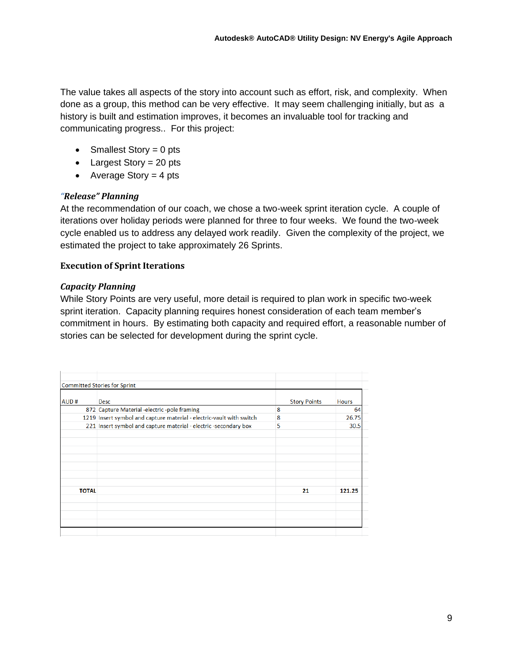The value takes all aspects of the story into account such as effort, risk, and complexity. When done as a group, this method can be very effective. It may seem challenging initially, but as a history is built and estimation improves, it becomes an invaluable tool for tracking and communicating progress.. For this project:

- Smallest Story  $= 0$  pts
- Largest Story =  $20$  pts
- Average Story  $=$  4 pts

# *"Release" Planning*

At the recommendation of our coach, we chose a two-week sprint iteration cycle. A couple of iterations over holiday periods were planned for three to four weeks. We found the two-week cycle enabled us to address any delayed work readily. Given the complexity of the project, we estimated the project to take approximately 26 Sprints.

# **Execution of Sprint Iterations**

#### *Capacity Planning*

While Story Points are very useful, more detail is required to plan work in specific two-week sprint iteration. Capacity planning requires honest consideration of each team member's commitment in hours. By estimating both capacity and required effort, a reasonable number of stories can be selected for development during the sprint cycle.

|              | Committed Stories for Sprint                                         |                     |              |
|--------------|----------------------------------------------------------------------|---------------------|--------------|
|              |                                                                      |                     |              |
| AUD#         | <b>Desc</b>                                                          | <b>Story Points</b> | <b>Hours</b> |
|              | 872 Capture Material -electric -pole framing                         | 8                   | 64           |
|              | 1219 Insert symbol and capture material - electric-vault with switch | 8                   | 26.75        |
|              | 221 Insert symbol and capture material - electric -secondary box     | 5                   | 30.5         |
|              |                                                                      |                     |              |
|              |                                                                      |                     |              |
|              |                                                                      |                     |              |
|              |                                                                      |                     |              |
|              |                                                                      |                     |              |
|              |                                                                      |                     |              |
|              |                                                                      |                     |              |
| <b>TOTAL</b> |                                                                      | 21                  | 121.25       |
|              |                                                                      |                     |              |
|              |                                                                      |                     |              |
|              |                                                                      |                     |              |
|              |                                                                      |                     |              |
|              |                                                                      |                     |              |
|              |                                                                      |                     |              |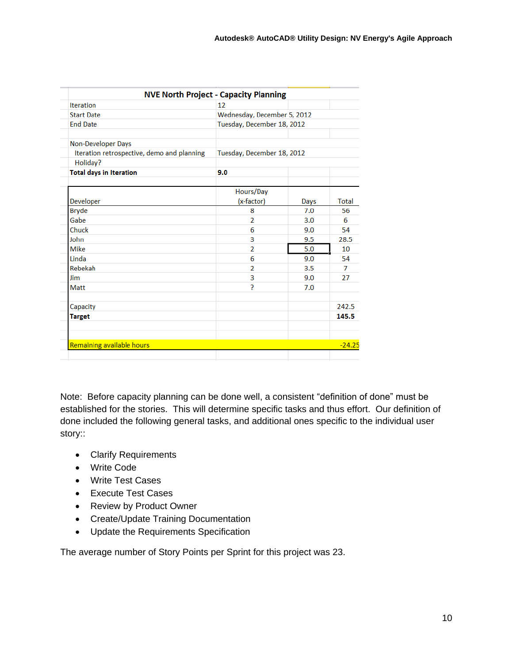|                                                  | <b>NVE North Project - Capacity Planning</b> |      |              |
|--------------------------------------------------|----------------------------------------------|------|--------------|
| <b>Iteration</b>                                 | 12                                           |      |              |
| Wednesday, December 5, 2012<br><b>Start Date</b> |                                              |      |              |
| <b>End Date</b>                                  | Tuesday, December 18, 2012                   |      |              |
| <b>Non-Developer Days</b>                        |                                              |      |              |
| Iteration retrospective, demo and planning       | Tuesday, December 18, 2012                   |      |              |
| Holiday?                                         |                                              |      |              |
| <b>Total days in Iteration</b>                   | 9.0                                          |      |              |
|                                                  | Hours/Day                                    |      |              |
| Developer                                        | (x-factor)                                   | Days | <b>Total</b> |
| <b>Bryde</b>                                     | 8                                            | 7.0  | 56           |
| Gabe                                             | $\overline{2}$                               | 3.0  | 6            |
| Chuck                                            | 6                                            | 9.0  | 54           |
| John                                             | 3                                            | 9.5  | 28.5         |
| <b>Mike</b>                                      | $\overline{2}$                               | 5.0  | 10           |
| Linda                                            | 6                                            | 9.0  | 54           |
| Rebekah                                          | 2                                            | 3.5  | 7            |
| Jim                                              | 3                                            | 9.0  | 27           |
| Matt                                             | 5.                                           | 7.0  |              |
| Capacity                                         |                                              |      | 242.5        |
| <b>Target</b>                                    |                                              |      | 145.5        |
|                                                  |                                              |      |              |
| Remaining available hours                        |                                              |      | $-24.25$     |

Note: Before capacity planning can be done well, a consistent "definition of done" must be established for the stories. This will determine specific tasks and thus effort. Our definition of done included the following general tasks, and additional ones specific to the individual user story::

- Clarify Requirements
- Write Code
- Write Test Cases
- Execute Test Cases
- Review by Product Owner
- Create/Update Training Documentation
- Update the Requirements Specification

The average number of Story Points per Sprint for this project was 23.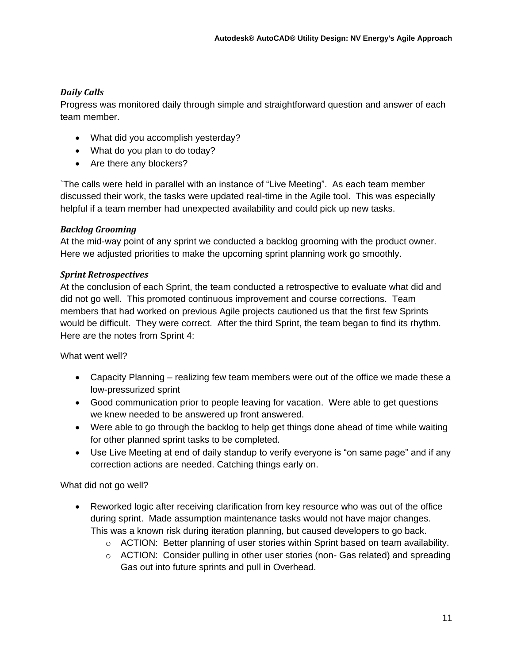# *Daily Calls*

Progress was monitored daily through simple and straightforward question and answer of each team member.

- What did you accomplish yesterday?
- What do you plan to do today?
- Are there any blockers?

`The calls were held in parallel with an instance of "Live Meeting". As each team member discussed their work, the tasks were updated real-time in the Agile tool. This was especially helpful if a team member had unexpected availability and could pick up new tasks.

# *Backlog Grooming*

At the mid-way point of any sprint we conducted a backlog grooming with the product owner. Here we adjusted priorities to make the upcoming sprint planning work go smoothly.

# *Sprint Retrospectives*

At the conclusion of each Sprint, the team conducted a retrospective to evaluate what did and did not go well. This promoted continuous improvement and course corrections. Team members that had worked on previous Agile projects cautioned us that the first few Sprints would be difficult. They were correct. After the third Sprint, the team began to find its rhythm. Here are the notes from Sprint 4:

What went well?

- Capacity Planning realizing few team members were out of the office we made these a low-pressurized sprint
- Good communication prior to people leaving for vacation. Were able to get questions we knew needed to be answered up front answered.
- Were able to go through the backlog to help get things done ahead of time while waiting for other planned sprint tasks to be completed.
- Use Live Meeting at end of daily standup to verify everyone is "on same page" and if any correction actions are needed. Catching things early on.

What did not go well?

- Reworked logic after receiving clarification from key resource who was out of the office during sprint. Made assumption maintenance tasks would not have major changes. This was a known risk during iteration planning, but caused developers to go back.
	- $\circ$  ACTION: Better planning of user stories within Sprint based on team availability.
	- $\circ$  ACTION: Consider pulling in other user stories (non-Gas related) and spreading Gas out into future sprints and pull in Overhead.